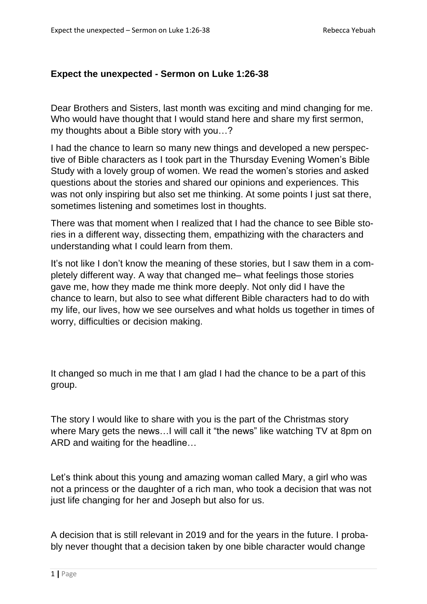## **Expect the unexpected - Sermon on Luke 1:26-38**

Dear Brothers and Sisters, last month was exciting and mind changing for me. Who would have thought that I would stand here and share my first sermon, my thoughts about a Bible story with you…?

I had the chance to learn so many new things and developed a new perspective of Bible characters as I took part in the Thursday Evening Women's Bible Study with a lovely group of women. We read the women's stories and asked questions about the stories and shared our opinions and experiences. This was not only inspiring but also set me thinking. At some points I just sat there, sometimes listening and sometimes lost in thoughts.

There was that moment when I realized that I had the chance to see Bible stories in a different way, dissecting them, empathizing with the characters and understanding what I could learn from them.

It's not like I don't know the meaning of these stories, but I saw them in a completely different way. A way that changed me– what feelings those stories gave me, how they made me think more deeply. Not only did I have the chance to learn, but also to see what different Bible characters had to do with my life, our lives, how we see ourselves and what holds us together in times of worry, difficulties or decision making.

It changed so much in me that I am glad I had the chance to be a part of this group.

The story I would like to share with you is the part of the Christmas story where Mary gets the news…I will call it "the news" like watching TV at 8pm on ARD and waiting for the headline…

Let's think about this young and amazing woman called Mary, a girl who was not a princess or the daughter of a rich man, who took a decision that was not just life changing for her and Joseph but also for us.

A decision that is still relevant in 2019 and for the years in the future. I probably never thought that a decision taken by one bible character would change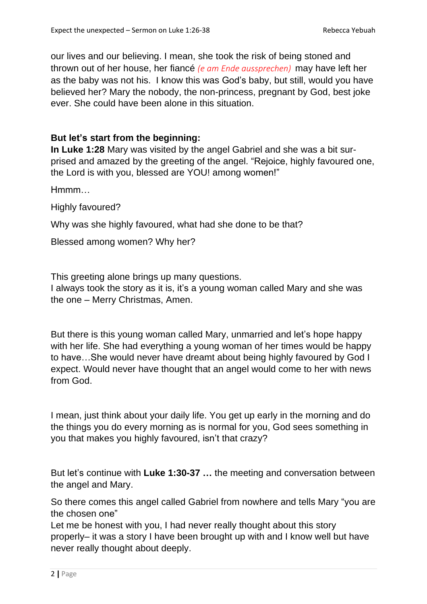our lives and our believing. I mean, she took the risk of being stoned and thrown out of her house, her fiancé *(e am Ende aussprechen)* may have left her as the baby was not his. I know this was God's baby, but still, would you have believed her? Mary the nobody, the non-princess, pregnant by God, best joke ever. She could have been alone in this situation.

## **But let's start from the beginning:**

**In Luke 1:28** Mary was visited by the angel Gabriel and she was a bit surprised and amazed by the greeting of the angel. "Rejoice, highly favoured one, the Lord is with you, blessed are YOU! among women!"

Hmmm…

Highly favoured?

Why was she highly favoured, what had she done to be that?

Blessed among women? Why her?

This greeting alone brings up many questions.

I always took the story as it is, it's a young woman called Mary and she was the one – Merry Christmas, Amen.

But there is this young woman called Mary, unmarried and let's hope happy with her life. She had everything a young woman of her times would be happy to have…She would never have dreamt about being highly favoured by God I expect. Would never have thought that an angel would come to her with news from God.

I mean, just think about your daily life. You get up early in the morning and do the things you do every morning as is normal for you, God sees something in you that makes you highly favoured, isn't that crazy?

But let's continue with **Luke 1:30-37 …** the meeting and conversation between the angel and Mary.

So there comes this angel called Gabriel from nowhere and tells Mary "you are the chosen one"

Let me be honest with you, I had never really thought about this story properly– it was a story I have been brought up with and I know well but have never really thought about deeply.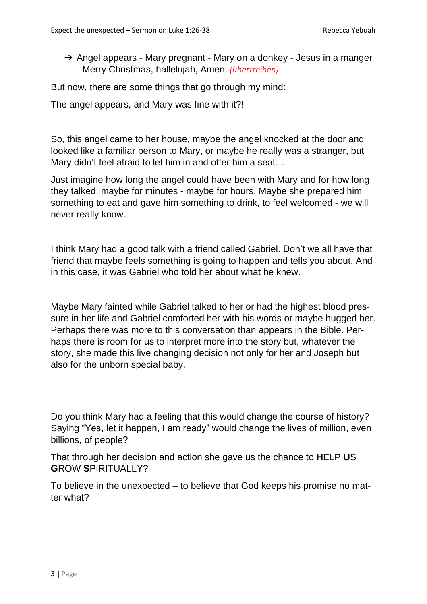→ Angel appears - Mary pregnant - Mary on a donkey - Jesus in a manger - Merry Christmas, hallelujah, Amen. *(übertreiben)*

But now, there are some things that go through my mind:

The angel appears, and Mary was fine with it?!

So, this angel came to her house, maybe the angel knocked at the door and looked like a familiar person to Mary, or maybe he really was a stranger, but Mary didn't feel afraid to let him in and offer him a seat...

Just imagine how long the angel could have been with Mary and for how long they talked, maybe for minutes - maybe for hours. Maybe she prepared him something to eat and gave him something to drink, to feel welcomed - we will never really know.

I think Mary had a good talk with a friend called Gabriel. Don't we all have that friend that maybe feels something is going to happen and tells you about. And in this case, it was Gabriel who told her about what he knew.

Maybe Mary fainted while Gabriel talked to her or had the highest blood pressure in her life and Gabriel comforted her with his words or maybe hugged her. Perhaps there was more to this conversation than appears in the Bible. Perhaps there is room for us to interpret more into the story but, whatever the story, she made this live changing decision not only for her and Joseph but also for the unborn special baby.

Do you think Mary had a feeling that this would change the course of history? Saying "Yes, let it happen, I am ready" would change the lives of million, even billions, of people?

That through her decision and action she gave us the chance to **H**ELP **U**S **G**ROW **S**PIRITUALLY?

To believe in the unexpected – to believe that God keeps his promise no matter what?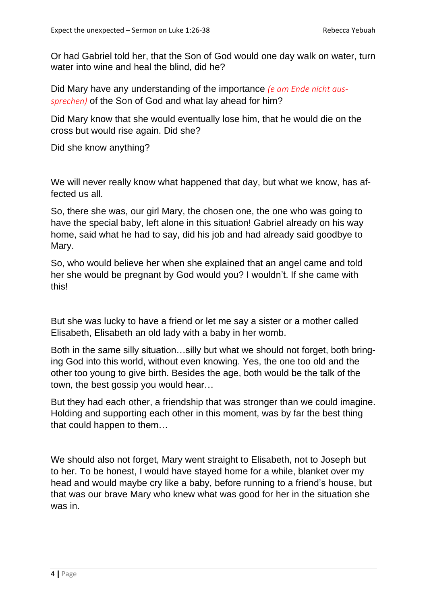Or had Gabriel told her, that the Son of God would one day walk on water, turn water into wine and heal the blind, did he?

Did Mary have any understanding of the importance *(e am Ende nicht aussprechen)* of the Son of God and what lay ahead for him?

Did Mary know that she would eventually lose him, that he would die on the cross but would rise again. Did she?

Did she know anything?

We will never really know what happened that day, but what we know, has affected us all.

So, there she was, our girl Mary, the chosen one, the one who was going to have the special baby, left alone in this situation! Gabriel already on his way home, said what he had to say, did his job and had already said goodbye to Mary.

So, who would believe her when she explained that an angel came and told her she would be pregnant by God would you? I wouldn't. If she came with this!

But she was lucky to have a friend or let me say a sister or a mother called Elisabeth, Elisabeth an old lady with a baby in her womb.

Both in the same silly situation…silly but what we should not forget, both bringing God into this world, without even knowing. Yes, the one too old and the other too young to give birth. Besides the age, both would be the talk of the town, the best gossip you would hear…

But they had each other, a friendship that was stronger than we could imagine. Holding and supporting each other in this moment, was by far the best thing that could happen to them…

We should also not forget, Mary went straight to Elisabeth, not to Joseph but to her. To be honest, I would have stayed home for a while, blanket over my head and would maybe cry like a baby, before running to a friend's house, but that was our brave Mary who knew what was good for her in the situation she was in.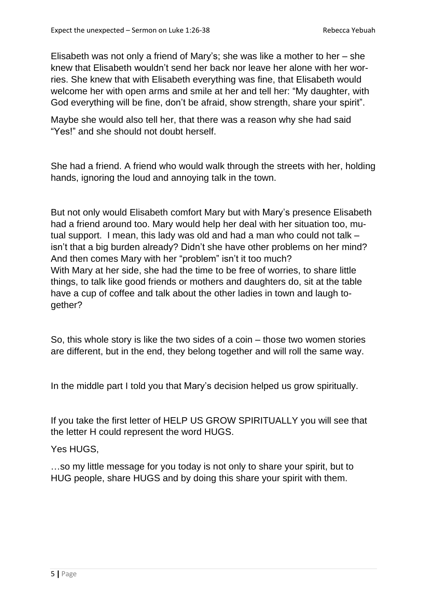Elisabeth was not only a friend of Mary's; she was like a mother to her – she knew that Elisabeth wouldn't send her back nor leave her alone with her worries. She knew that with Elisabeth everything was fine, that Elisabeth would welcome her with open arms and smile at her and tell her: "My daughter, with God everything will be fine, don't be afraid, show strength, share your spirit".

Maybe she would also tell her, that there was a reason why she had said "Yes!" and she should not doubt herself.

She had a friend. A friend who would walk through the streets with her, holding hands, ignoring the loud and annoying talk in the town.

But not only would Elisabeth comfort Mary but with Mary's presence Elisabeth had a friend around too. Mary would help her deal with her situation too, mutual support. I mean, this lady was old and had a man who could not talk – isn't that a big burden already? Didn't she have other problems on her mind? And then comes Mary with her "problem" isn't it too much? With Mary at her side, she had the time to be free of worries, to share little things, to talk like good friends or mothers and daughters do, sit at the table have a cup of coffee and talk about the other ladies in town and laugh together?

So, this whole story is like the two sides of a coin – those two women stories are different, but in the end, they belong together and will roll the same way.

In the middle part I told you that Mary's decision helped us grow spiritually.

If you take the first letter of HELP US GROW SPIRITUALLY you will see that the letter H could represent the word HUGS.

Yes HUGS,

…so my little message for you today is not only to share your spirit, but to HUG people, share HUGS and by doing this share your spirit with them.